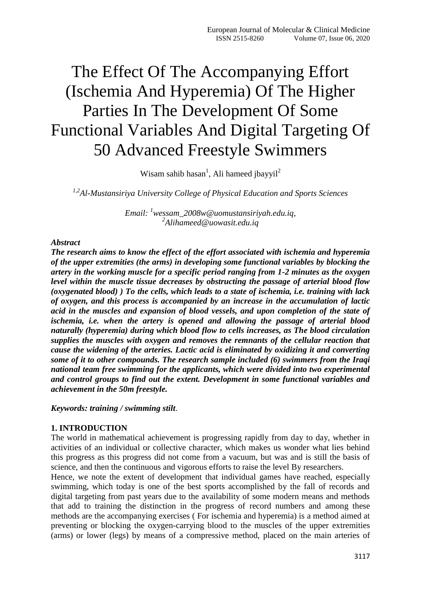# The Effect Of The Accompanying Effort (Ischemia And Hyperemia) Of The Higher Parties In The Development Of Some Functional Variables And Digital Targeting Of 50 Advanced Freestyle Swimmers

Wisam sahib hasan<sup>1</sup>, Ali hameed jbayyil<sup>2</sup>

*1,2Al-Mustansiriya University College of Physical Education and Sports Sciences*

*Email: <sup>1</sup>[wessam\\_2008w@uomustansiriyah.edu.iq,](mailto:wessam_2008w@uomustansiriyah.edu.iq) 2 [Alihameed@uowasit.edu.iq](mailto:Alihameed@uowasit.edu.iq)*

## *Abstract*

*The research aims to know the effect of the effort associated with ischemia and hyperemia of the upper extremities (the arms) in developing some functional variables by blocking the artery in the working muscle for a specific period ranging from 1-2 minutes as the oxygen level within the muscle tissue decreases by obstructing the passage of arterial blood flow (oxygenated blood) ) To the cells, which leads to a state of ischemia, i.e. training with lack of oxygen, and this process is accompanied by an increase in the accumulation of lactic acid in the muscles and expansion of blood vessels, and upon completion of the state of ischemia, i.e. when the artery is opened and allowing the passage of arterial blood naturally (hyperemia) during which blood flow to cells increases, as The blood circulation supplies the muscles with oxygen and removes the remnants of the cellular reaction that cause the widening of the arteries. Lactic acid is eliminated by oxidizing it and converting some of it to other compounds. The research sample included (6) swimmers from the Iraqi national team free swimming for the applicants, which were divided into two experimental and control groups to find out the extent. Development in some functional variables and achievement in the 50m freestyle.*

*Keywords: training / swimming stilt*.

## **1. INTRODUCTION**

The world in mathematical achievement is progressing rapidly from day to day, whether in activities of an individual or collective character, which makes us wonder what lies behind this progress as this progress did not come from a vacuum, but was and is still the basis of science, and then the continuous and vigorous efforts to raise the level By researchers.

Hence, we note the extent of development that individual games have reached, especially swimming, which today is one of the best sports accomplished by the fall of records and digital targeting from past years due to the availability of some modern means and methods that add to training the distinction in the progress of record numbers and among these methods are the accompanying exercises ( For ischemia and hyperemia) is a method aimed at preventing or blocking the oxygen-carrying blood to the muscles of the upper extremities (arms) or lower (legs) by means of a compressive method, placed on the main arteries of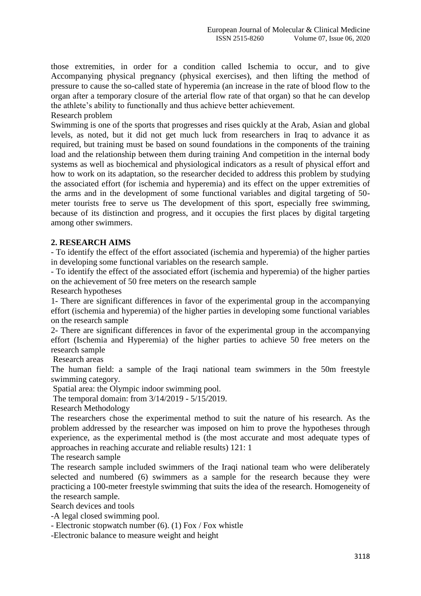those extremities, in order for a condition called Ischemia to occur, and to give Accompanying physical pregnancy (physical exercises), and then lifting the method of pressure to cause the so-called state of hyperemia (an increase in the rate of blood flow to the organ after a temporary closure of the arterial flow rate of that organ) so that he can develop the athlete's ability to functionally and thus achieve better achievement.

Research problem

Swimming is one of the sports that progresses and rises quickly at the Arab, Asian and global levels, as noted, but it did not get much luck from researchers in Iraq to advance it as required, but training must be based on sound foundations in the components of the training load and the relationship between them during training And competition in the internal body systems as well as biochemical and physiological indicators as a result of physical effort and how to work on its adaptation, so the researcher decided to address this problem by studying the associated effort (for ischemia and hyperemia) and its effect on the upper extremities of the arms and in the development of some functional variables and digital targeting of 50 meter tourists free to serve us The development of this sport, especially free swimming, because of its distinction and progress, and it occupies the first places by digital targeting among other swimmers.

## **2. RESEARCH AIMS**

- To identify the effect of the effort associated (ischemia and hyperemia) of the higher parties in developing some functional variables on the research sample.

- To identify the effect of the associated effort (ischemia and hyperemia) of the higher parties on the achievement of 50 free meters on the research sample

Research hypotheses

1- There are significant differences in favor of the experimental group in the accompanying effort (ischemia and hyperemia) of the higher parties in developing some functional variables on the research sample

2- There are significant differences in favor of the experimental group in the accompanying effort (Ischemia and Hyperemia) of the higher parties to achieve 50 free meters on the research sample

Research areas

The human field: a sample of the Iraqi national team swimmers in the 50m freestyle swimming category.

Spatial area: the Olympic indoor swimming pool.

The temporal domain: from 3/14/2019 - 5/15/2019.

Research Methodology

The researchers chose the experimental method to suit the nature of his research. As the problem addressed by the researcher was imposed on him to prove the hypotheses through experience, as the experimental method is (the most accurate and most adequate types of approaches in reaching accurate and reliable results) 121: 1

The research sample

The research sample included swimmers of the Iraqi national team who were deliberately selected and numbered (6) swimmers as a sample for the research because they were practicing a 100-meter freestyle swimming that suits the idea of the research. Homogeneity of the research sample.

Search devices and tools

-A legal closed swimming pool.

- Electronic stopwatch number (6). (1) Fox / Fox whistle

-Electronic balance to measure weight and height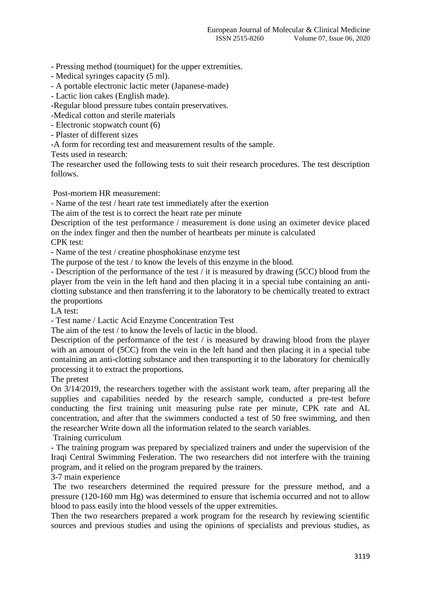- Pressing method (tourniquet) for the upper extremities.

- Medical syringes capacity (5 ml).
- A portable electronic lactic meter (Japanese-made)
- Lactic lion cakes (English made).
- -Regular blood pressure tubes contain preservatives.
- -Medical cotton and sterile materials
- Electronic stopwatch count (6)
- Plaster of different sizes
- -A form for recording test and measurement results of the sample.

Tests used in research:

The researcher used the following tests to suit their research procedures. The test description follows.

Post-mortem HR measurement:

- Name of the test / heart rate test immediately after the exertion

The aim of the test is to correct the heart rate per minute

Description of the test performance / measurement is done using an oximeter device placed on the index finger and then the number of heartbeats per minute is calculated

CPK test:

- Name of the test / creatine phosphokinase enzyme test

The purpose of the test / to know the levels of this enzyme in the blood.

- Description of the performance of the test / it is measured by drawing (5CC) blood from the player from the vein in the left hand and then placing it in a special tube containing an anticlotting substance and then transferring it to the laboratory to be chemically treated to extract the proportions

LA test:

- Test name / Lactic Acid Enzyme Concentration Test

The aim of the test / to know the levels of lactic in the blood.

Description of the performance of the test / is measured by drawing blood from the player with an amount of (5CC) from the vein in the left hand and then placing it in a special tube containing an anti-clotting substance and then transporting it to the laboratory for chemically processing it to extract the proportions.

The pretest

On 3/14/2019, the researchers together with the assistant work team, after preparing all the supplies and capabilities needed by the research sample, conducted a pre-test before conducting the first training unit measuring pulse rate per minute, CPK rate and AL concentration, and after that the swimmers conducted a test of 50 free swimming, and then the researcher Write down all the information related to the search variables.

Training curriculum

- The training program was prepared by specialized trainers and under the supervision of the Iraqi Central Swimming Federation. The two researchers did not interfere with the training program, and it relied on the program prepared by the trainers.

3-7 main experience

The two researchers determined the required pressure for the pressure method, and a pressure (120-160 mm Hg) was determined to ensure that ischemia occurred and not to allow blood to pass easily into the blood vessels of the upper extremities.

Then the two researchers prepared a work program for the research by reviewing scientific sources and previous studies and using the opinions of specialists and previous studies, as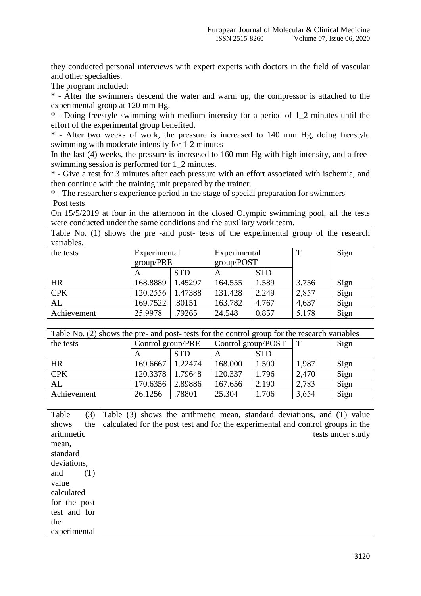they conducted personal interviews with expert experts with doctors in the field of vascular and other specialties.

The program included:

\* - After the swimmers descend the water and warm up, the compressor is attached to the experimental group at 120 mm Hg.

\* - Doing freestyle swimming with medium intensity for a period of 1\_2 minutes until the effort of the experimental group benefited.

\* - After two weeks of work, the pressure is increased to 140 mm Hg, doing freestyle swimming with moderate intensity for 1-2 minutes

In the last (4) weeks, the pressure is increased to 160 mm Hg with high intensity, and a freeswimming session is performed for 1\_2 minutes.

\* - Give a rest for 3 minutes after each pressure with an effort associated with ischemia, and then continue with the training unit prepared by the trainer.

\* - The researcher's experience period in the stage of special preparation for swimmers Post tests

On 15/5/2019 at four in the afternoon in the closed Olympic swimming pool, all the tests were conducted under the same conditions and the auxiliary work team.

Table No. (1) shows the pre -and post- tests of the experimental group of the research variables.

| the tests   | Experimental |            | Experimental |            | T     | Sign |
|-------------|--------------|------------|--------------|------------|-------|------|
|             | group/PRE    |            | group/POST   |            |       |      |
|             | Α            | <b>STD</b> | A            | <b>STD</b> |       |      |
| <b>HR</b>   | 168.8889     | 1.45297    | 164.555      | 1.589      | 3,756 | Sign |
| <b>CPK</b>  | 120.2556     | 1.47388    | 131.428      | 2.249      | 2,857 | Sign |
| AL          | 169.7522     | .80151     | 163.782      | 4.767      | 4,637 | Sign |
| Achievement | 25.9978      | .79265     | 24.548       | 0.857      | 5,178 | Sign |

| Table No. (2) shows the pre- and post- tests for the control group for the research variables |                   |            |                    |            |             |      |  |
|-----------------------------------------------------------------------------------------------|-------------------|------------|--------------------|------------|-------------|------|--|
| the tests                                                                                     | Control group/PRE |            | Control group/POST |            | $\mathbf T$ | Sign |  |
|                                                                                               | A                 | <b>STD</b> |                    | <b>STD</b> |             |      |  |
| <b>HR</b>                                                                                     | 169.6667          | 1.22474    | 168.000            | 1.500      | 1,987       | Sign |  |
| <b>CPK</b>                                                                                    | 120.3378          | 1.79648    | 120.337            | 1.796      | 2,470       | Sign |  |
| AL                                                                                            | 170.6356          | 2.89886    | 167.656            | 2.190      | 2,783       | Sign |  |
| Achievement                                                                                   | 26.1256           | .78801     | 25.304             | 1.706      | 3,654       | Sign |  |

| Table        | (3) | Table (3) shows the arithmetic mean, standard deviations, and (T) value         |
|--------------|-----|---------------------------------------------------------------------------------|
| shows        | the | calculated for the post test and for the experimental and control groups in the |
| arithmetic   |     | tests under study                                                               |
| mean.        |     |                                                                                 |
| standard     |     |                                                                                 |
| deviations,  |     |                                                                                 |
| and          | (T) |                                                                                 |
| value        |     |                                                                                 |
| calculated   |     |                                                                                 |
| for the post |     |                                                                                 |
| test and for |     |                                                                                 |
| the          |     |                                                                                 |
| experimental |     |                                                                                 |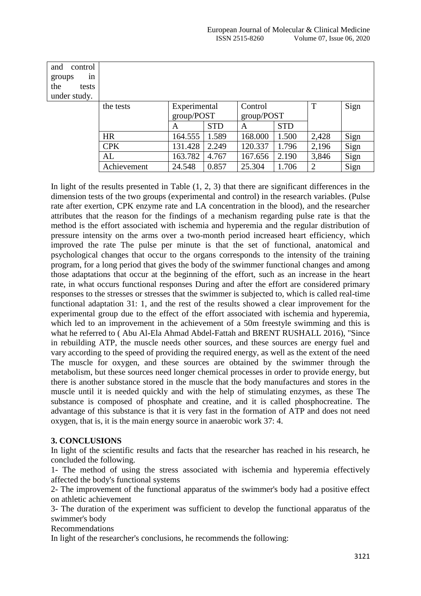| and<br>control<br>groups<br>1n<br>the<br>tests<br>under study. |             |                                               |       |                                          |       |                |      |
|----------------------------------------------------------------|-------------|-----------------------------------------------|-------|------------------------------------------|-------|----------------|------|
|                                                                | the tests   | Experimental<br>group/POST<br><b>STD</b><br>A |       | Control<br>group/POST<br><b>STD</b><br>A |       | T              | Sign |
|                                                                | <b>HR</b>   | 164.555                                       | 1.589 | 168.000                                  | 1.500 | 2,428          | Sign |
|                                                                | <b>CPK</b>  | 131.428                                       | 2.249 | 120.337                                  | 1.796 | 2,196          | Sign |
|                                                                | AL          | 163.782                                       | 4.767 | 167.656                                  | 2.190 | 3,846          | Sign |
|                                                                | Achievement | 24.548                                        | 0.857 | 25.304                                   | 1.706 | $\overline{2}$ | Sign |

In light of the results presented in Table (1, 2, 3) that there are significant differences in the dimension tests of the two groups (experimental and control) in the research variables. (Pulse rate after exertion, CPK enzyme rate and LA concentration in the blood), and the researcher attributes that the reason for the findings of a mechanism regarding pulse rate is that the method is the effort associated with ischemia and hyperemia and the regular distribution of pressure intensity on the arms over a two-month period increased heart efficiency, which improved the rate The pulse per minute is that the set of functional, anatomical and psychological changes that occur to the organs corresponds to the intensity of the training program, for a long period that gives the body of the swimmer functional changes and among those adaptations that occur at the beginning of the effort, such as an increase in the heart rate, in what occurs functional responses During and after the effort are considered primary responses to the stresses or stresses that the swimmer is subjected to, which is called real-time functional adaptation 31: 1, and the rest of the results showed a clear improvement for the experimental group due to the effect of the effort associated with ischemia and hyperemia, which led to an improvement in the achievement of a 50m freestyle swimming and this is what he referred to ( Abu Al-Ela Ahmad Abdel-Fattah and BRENT RUSHALL 2016), "Since in rebuilding ATP, the muscle needs other sources, and these sources are energy fuel and vary according to the speed of providing the required energy, as well as the extent of the need The muscle for oxygen, and these sources are obtained by the swimmer through the metabolism, but these sources need longer chemical processes in order to provide energy, but there is another substance stored in the muscle that the body manufactures and stores in the muscle until it is needed quickly and with the help of stimulating enzymes, as these The substance is composed of phosphate and creatine, and it is called phosphocreatine. The advantage of this substance is that it is very fast in the formation of ATP and does not need oxygen, that is, it is the main energy source in anaerobic work 37: 4.

## **3. CONCLUSIONS**

In light of the scientific results and facts that the researcher has reached in his research, he concluded the following.

1- The method of using the stress associated with ischemia and hyperemia effectively affected the body's functional systems

2- The improvement of the functional apparatus of the swimmer's body had a positive effect on athletic achievement

3- The duration of the experiment was sufficient to develop the functional apparatus of the swimmer's body

Recommendations

In light of the researcher's conclusions, he recommends the following: